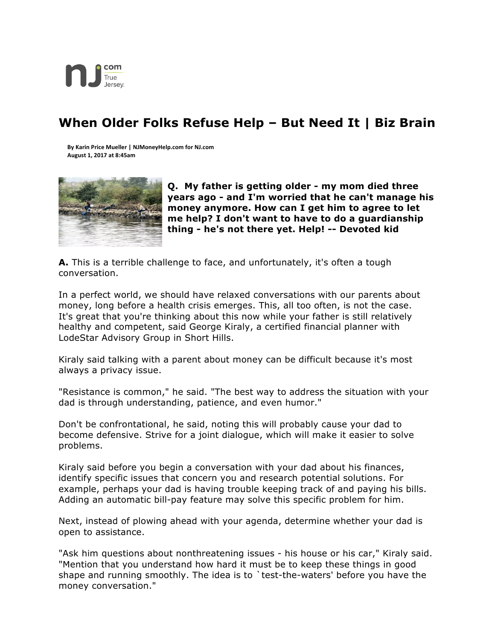

## **When Older Folks Refuse Help – But Need It | Biz Brain**

**By Karin Price Mueller | NJMoneyHelp.com for NJ.com August 1, 2017 at 8:45am**



**Q. My father is getting older - my mom died three years ago - and I'm worried that he can't manage his money anymore. How can I get him to agree to let me help? I don't want to have to do a guardianship thing - he's not there yet. Help! -- Devoted kid**

**A.** This is a terrible challenge to face, and unfortunately, it's often a tough conversation.

In a perfect world, we should have relaxed conversations with our parents about money, long before a health crisis emerges. This, all too often, is not the case. It's great that you're thinking about this now while your father is still relatively healthy and competent, said George Kiraly, a certified financial planner with LodeStar Advisory Group in Short Hills.

Kiraly said talking with a parent about money can be difficult because it's most always a privacy issue.

"Resistance is common," he said. "The best way to address the situation with your dad is through understanding, patience, and even humor."

Don't be confrontational, he said, noting this will probably cause your dad to become defensive. Strive for a joint dialogue, which will make it easier to solve problems.

Kiraly said before you begin a conversation with your dad about his finances, identify specific issues that concern you and research potential solutions. For example, perhaps your dad is having trouble keeping track of and paying his bills. Adding an automatic bill-pay feature may solve this specific problem for him.

Next, instead of plowing ahead with your agenda, determine whether your dad is open to assistance.

"Ask him questions about nonthreatening issues - his house or his car," Kiraly said. "Mention that you understand how hard it must be to keep these things in good shape and running smoothly. The idea is to `test-the-waters' before you have the money conversation."